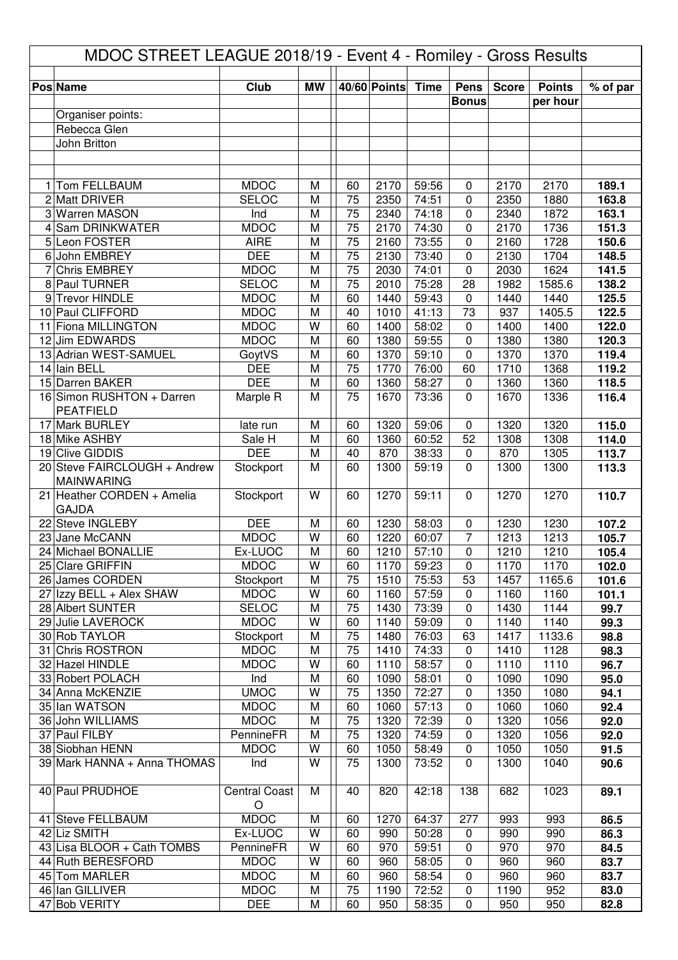| MDOC STREET LEAGUE 2018/19 - Event 4 - Romiley - Gross Results |                                                 |                            |           |                 |              |                |                             |              |                           |                |  |
|----------------------------------------------------------------|-------------------------------------------------|----------------------------|-----------|-----------------|--------------|----------------|-----------------------------|--------------|---------------------------|----------------|--|
|                                                                |                                                 |                            |           |                 | 40/60 Points |                |                             |              |                           |                |  |
|                                                                | <b>Pos Name</b>                                 | Club                       | <b>MW</b> |                 |              | <b>Time</b>    | <b>Pens</b><br><b>Bonus</b> | <b>Score</b> | <b>Points</b><br>per hour | % of par       |  |
|                                                                | Organiser points:                               |                            |           |                 |              |                |                             |              |                           |                |  |
|                                                                | Rebecca Glen                                    |                            |           |                 |              |                |                             |              |                           |                |  |
|                                                                | John Britton                                    |                            |           |                 |              |                |                             |              |                           |                |  |
|                                                                |                                                 |                            |           |                 |              |                |                             |              |                           |                |  |
|                                                                | Tom FELLBAUM                                    | <b>MDOC</b>                | M         | 60              |              |                |                             | 2170         |                           |                |  |
| 1                                                              | 2 Matt DRIVER                                   | <b>SELOC</b>               | M         | 75              | 2170<br>2350 | 59:56<br>74:51 | 0<br>0                      | 2350         | 2170<br>1880              | 189.1<br>163.8 |  |
|                                                                | 3 Warren MASON                                  | Ind                        | M         | 75              | 2340         | 74:18          | 0                           | 2340         | 1872                      | 163.1          |  |
| 4                                                              | Sam DRINKWATER                                  | <b>MDOC</b>                | M         | 75              | 2170         | 74:30          | 0                           | 2170         | 1736                      | 151.3          |  |
|                                                                | 5 Leon FOSTER                                   | <b>AIRE</b>                | M         | 75              | 2160         | 73:55          | 0                           | 2160         | 1728                      | 150.6          |  |
|                                                                | 6 John EMBREY                                   | <b>DEE</b>                 | M         | 75              | 2130         | 73:40          | 0                           | 2130         | 1704                      | 148.5          |  |
| 7                                                              | <b>Chris EMBREY</b>                             | <b>MDOC</b>                | M         | $\overline{75}$ | 2030         | 74:01          | $\mathbf 0$                 | 2030         | 1624                      | 141.5          |  |
| 8                                                              | Paul TURNER                                     | <b>SELOC</b>               | M         | $\overline{75}$ | 2010         | 75:28          | 28                          | 1982         | 1585.6                    | 138.2          |  |
| 9                                                              | Trevor HINDLE                                   | <b>MDOC</b>                | M         | 60              | 1440         | 59:43          | $\mathbf 0$                 | 1440         | 1440                      | 125.5          |  |
| 11                                                             | 10 Paul CLIFFORD<br><b>Fiona MILLINGTON</b>     | <b>MDOC</b><br><b>MDOC</b> | M<br>W    | 40<br>60        | 1010<br>1400 | 41:13<br>58:02 | 73<br>$\pmb{0}$             | 937<br>1400  | 1405.5<br>1400            | 122.5<br>122.0 |  |
|                                                                | 12 Jim EDWARDS                                  | <b>MDOC</b>                | M         | 60              | 1380         | 59:55          | 0                           | 1380         | 1380                      | 120.3          |  |
|                                                                | 13 Adrian WEST-SAMUEL                           | GoytVS                     | M         | 60              | 1370         | 59:10          | $\pmb{0}$                   | 1370         | 1370                      | 119.4          |  |
|                                                                | 14 Iain BELL                                    | <b>DEE</b>                 | M         | 75              | 1770         | 76:00          | 60                          | 1710         | 1368                      | 119.2          |  |
|                                                                | 15 Darren BAKER                                 | <b>DEE</b>                 | M         | 60              | 1360         | 58:27          | $\pmb{0}$                   | 1360         | 1360                      | 118.5          |  |
|                                                                | 16 Simon RUSHTON + Darren                       | Marple R                   | M         | 75              | 1670         | 73:36          | $\mathbf 0$                 | 1670         | 1336                      | 116.4          |  |
|                                                                | <b>PEATFIELD</b>                                |                            |           |                 |              |                |                             |              |                           |                |  |
|                                                                | 17 Mark BURLEY                                  | late run                   | M         | 60              | 1320         | 59:06          | 0                           | 1320         | 1320                      | 115.0          |  |
|                                                                | 18 Mike ASHBY                                   | Sale H                     | M         | 60              | 1360         | 60:52          | 52                          | 1308         | 1308                      | 114.0          |  |
|                                                                | 19 Clive GIDDIS<br>20 Steve FAIRCLOUGH + Andrew | <b>DEE</b>                 | M<br>M    | 40<br>60        | 870<br>1300  | 38:33<br>59:19 | 0<br>$\mathbf 0$            | 870<br>1300  | 1305<br>1300              | 113.7          |  |
|                                                                | <b>MAINWARING</b>                               | Stockport                  |           |                 |              |                |                             |              |                           | 113.3          |  |
| 21                                                             | Heather CORDEN + Amelia                         | Stockport                  | W         | 60              | 1270         | 59:11          | $\mathbf 0$                 | 1270         | 1270                      | 110.7          |  |
|                                                                | <b>GAJDA</b>                                    |                            |           |                 |              |                |                             |              |                           |                |  |
|                                                                | 22 Steve INGLEBY                                | <b>DEE</b>                 | M         | 60              | 1230         | 58:03          | 0                           | 1230         | 1230                      | 107.2          |  |
|                                                                | 23 Jane McCANN                                  | <b>MDOC</b>                | W         | 60              | 1220         | 60:07          | 7                           | 1213         | 1213                      | 105.7          |  |
|                                                                | 24 Michael BONALLIE                             | Ex-LUOC                    | M         | 60              | 1210         | 57:10          | 0                           | 1210         | 1210                      | 105.4          |  |
|                                                                | 25 Clare GRIFFIN                                | <b>MDOC</b>                | W         | 60              | 1170         | 59:23          | 0                           | 1170         | 1170                      | 102.0          |  |
|                                                                | 26 James CORDEN                                 | Stockport<br><b>MDOC</b>   | M<br>W    | 75<br>60        | 1510<br>1160 | 75:53<br>57:59 | 53<br>$\mathbf 0$           | 1457<br>1160 | 1165.6                    | 101.6          |  |
|                                                                | 27 Izzy BELL + Alex SHAW<br>28 Albert SUNTER    | <b>SELOC</b>               | M         | 75              | 1430         | 73:39          | 0                           | 1430         | 1160<br>1144              | 101.1<br>99.7  |  |
|                                                                | 29 Julie LAVEROCK                               | <b>MDOC</b>                | W         | 60              | 1140         | 59:09          | $\pmb{0}$                   | 1140         | 1140                      | 99.3           |  |
|                                                                | 30 Rob TAYLOR                                   | Stockport                  | M         | 75              | 1480         | 76:03          | 63                          | 1417         | 1133.6                    | 98.8           |  |
|                                                                | 31 Chris ROSTRON                                | <b>MDOC</b>                | M         | 75              | 1410         | 74:33          | 0                           | 1410         | 1128                      | 98.3           |  |
|                                                                | 32 Hazel HINDLE                                 | <b>MDOC</b>                | W         | 60              | 1110         | 58:57          | 0                           | 1110         | 1110                      | 96.7           |  |
|                                                                | 33 Robert POLACH                                | Ind                        | M         | 60              | 1090         | 58:01          | 0                           | 1090         | 1090                      | 95.0           |  |
|                                                                | 34 Anna McKENZIE                                | <b>UMOC</b>                | W         | 75              | 1350         | 72:27          | 0                           | 1350         | 1080                      | 94.1           |  |
|                                                                | 35 Ian WATSON                                   | <b>MDOC</b>                | M         | 60              | 1060         | 57:13          | 0                           | 1060         | 1060                      | 92.4           |  |
|                                                                | 36 John WILLIAMS<br>37 Paul FILBY               | <b>MDOC</b><br>PennineFR   | M<br>M    | 75<br>75        | 1320<br>1320 | 72:39<br>74:59 | 0<br>$\pmb{0}$              | 1320<br>1320 | 1056<br>1056              | 92.0<br>92.0   |  |
|                                                                | 38 Siobhan HENN                                 | <b>MDOC</b>                | W         | 60              | 1050         | 58:49          | 0                           | 1050         | 1050                      | 91.5           |  |
|                                                                | 39 Mark HANNA + Anna THOMAS                     | Ind                        | W         | 75              | 1300         | 73:52          | $\mathbf 0$                 | 1300         | 1040                      | 90.6           |  |
|                                                                |                                                 |                            |           |                 |              |                |                             |              |                           |                |  |
|                                                                | 40 Paul PRUDHOE                                 | <b>Central Coast</b><br>O  | M         | 40              | 820          | 42:18          | 138                         | 682          | 1023                      | 89.1           |  |
|                                                                | 41 Steve FELLBAUM                               | <b>MDOC</b>                | M         | 60              | 1270         | 64:37          | 277                         | 993          | 993                       | 86.5           |  |
|                                                                | 42 Liz SMITH                                    | Ex-LUOC                    | W         | 60              | 990          | 50:28          | $\mathbf 0$                 | 990          | 990                       | 86.3           |  |
|                                                                | 43 Lisa BLOOR + Cath TOMBS                      | PennineFR                  | W         | 60              | 970          | 59:51          | $\pmb{0}$                   | 970          | 970                       | 84.5           |  |
|                                                                | 44 Ruth BERESFORD                               | <b>MDOC</b>                | W         | 60              | 960          | 58:05          | 0                           | 960          | 960                       | 83.7           |  |
|                                                                | 45 Tom MARLER                                   | <b>MDOC</b>                | M         | 60              | 960          | 58:54          | 0                           | 960          | 960                       | 83.7           |  |
|                                                                | 46 Ian GILLIVER                                 | <b>MDOC</b>                | M         | 75              | 1190         | 72:52          | 0                           | 1190         | 952                       | 83.0           |  |
|                                                                | 47 Bob VERITY                                   | <b>DEE</b>                 | M         | 60              | 950          | 58:35          | 0                           | 950          | 950                       | 82.8           |  |